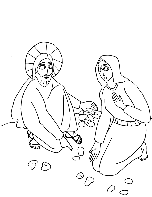